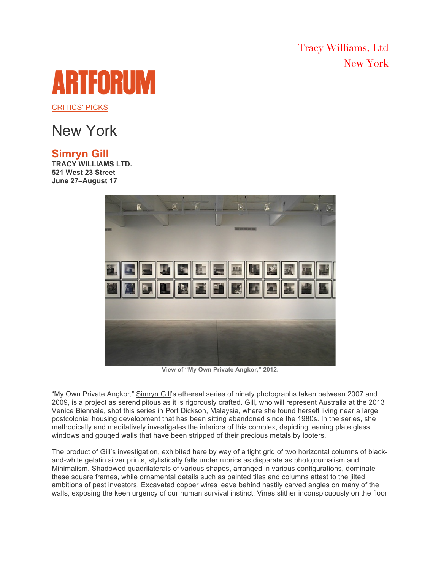Tracy Williams, Ltd New York

## ARTFORUI

CRITICS' PICKS

## New York

## **Simryn Gill**

**TRACY WILLIAMS LTD. 521 West 23 Street June 27–August 17**



**View of "My Own Private Angkor," 2012.**

"My Own Private Angkor," Simryn Gill's ethereal series of ninety photographs taken between 2007 and 2009, is a project as serendipitous as it is rigorously crafted. Gill, who will represent Australia at the 2013 Venice Biennale, shot this series in Port Dickson, Malaysia, where she found herself living near a large postcolonial housing development that has been sitting abandoned since the 1980s. In the series, she methodically and meditatively investigates the interiors of this complex, depicting leaning plate glass windows and gouged walls that have been stripped of their precious metals by looters.

The product of Gill's investigation, exhibited here by way of a tight grid of two horizontal columns of blackand-white gelatin silver prints, stylistically falls under rubrics as disparate as photojournalism and Minimalism. Shadowed quadrilaterals of various shapes, arranged in various configurations, dominate these square frames, while ornamental details such as painted tiles and columns attest to the jilted ambitions of past investors. Excavated copper wires leave behind hastily carved angles on many of the walls, exposing the keen urgency of our human survival instinct. Vines slither inconspicuously on the floor